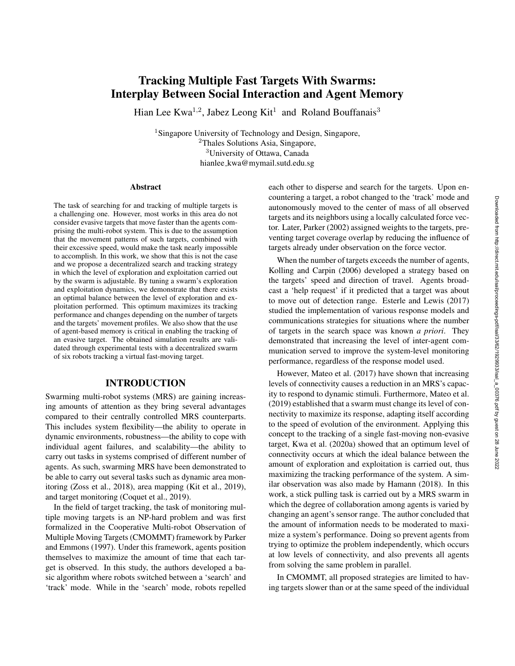# Tracking Multiple Fast Targets With Swarms: Interplay Between Social Interaction and Agent Memory

Hian Lee Kwa<sup>1,2</sup>, Jabez Leong Kit<sup>1</sup> and Roland Bouffanais<sup>3</sup>

<sup>1</sup>Singapore University of Technology and Design, Singapore, <sup>2</sup>Thales Solutions Asia, Singapore, <sup>3</sup>University of Ottawa, Canada hianlee kwa@mymail.sutd.edu.sg

#### **Abstract**

The task of searching for and tracking of multiple targets is a challenging one. However, most works in this area do not consider evasive targets that move faster than the agents comprising the multi-robot system. This is due to the assumption that the movement patterns of such targets, combined with their excessive speed, would make the task nearly impossible to accomplish. In this work, we show that this is not the case and we propose a decentralized search and tracking strategy in which the level of exploration and exploitation carried out by the swarm is adjustable. By tuning a swarm's exploration and exploitation dynamics, we demonstrate that there exists an optimal balance between the level of exploration and exploitation performed. This optimum maximizes its tracking performance and changes depending on the number of targets and the targets' movement profiles. We also show that the use of agent-based memory is critical in enabling the tracking of an evasive target. The obtained simulation results are validated through experimental tests with a decentralized swarm of six robots tracking a virtual fast-moving target.

## INTRODUCTION

Swarming multi-robot systems (MRS) are gaining increasing amounts of attention as they bring several advantages compared to their centrally controlled MRS counterparts. This includes system flexibility—the ability to operate in dynamic environments, robustness—the ability to cope with individual agent failures, and scalability—the ability to carry out tasks in systems comprised of different number of agents. As such, swarming MRS have been demonstrated to be able to carry out several tasks such as dynamic area monitoring (Zoss et al., 2018), area mapping (Kit et al., 2019), and target monitoring (Coquet et al., 2019).

In the field of target tracking, the task of monitoring multiple moving targets is an NP-hard problem and was first formalized in the Cooperative Multi-robot Observation of Multiple Moving Targets (CMOMMT) framework by Parker and Emmons (1997). Under this framework, agents position themselves to maximize the amount of time that each target is observed. In this study, the authors developed a basic algorithm where robots switched between a 'search' and 'track' mode. While in the 'search' mode, robots repelled

each other to disperse and search for the targets. Upon encountering a target, a robot changed to the 'track' mode and autonomously moved to the center of mass of all observed targets and its neighbors using a locally calculated force vector. Later, Parker (2002) assigned weights to the targets, preventing target coverage overlap by reducing the influence of targets already under observation on the force vector.

When the number of targets exceeds the number of agents, Kolling and Carpin (2006) developed a strategy based on the targets' speed and direction of travel. Agents broadcast a 'help request' if it predicted that a target was about to move out of detection range. Esterle and Lewis (2017) studied the implementation of various response models and communications strategies for situations where the number of targets in the search space was known *a priori*. They demonstrated that increasing the level of inter-agent communication served to improve the system-level monitoring performance, regardless of the response model used.

However, Mateo et al. (2017) have shown that increasing levels of connectivity causes a reduction in an MRS's capacity to respond to dynamic stimuli. Furthermore, Mateo et al. (2019) established that a swarm must change its level of connectivity to maximize its response, adapting itself according to the speed of evolution of the environment. Applying this concept to the tracking of a single fast-moving non-evasive target, Kwa et al. (2020a) showed that an optimum level of connectivity occurs at which the ideal balance between the amount of exploration and exploitation is carried out, thus maximizing the tracking performance of the system. A similar observation was also made by Hamann (2018). In this work, a stick pulling task is carried out by a MRS swarm in which the degree of collaboration among agents is varied by changing an agent's sensor range. The author concluded that the amount of information needs to be moderated to maximize a system's performance. Doing so prevent agents from trying to optimize the problem independently, which occurs at low levels of connectivity, and also prevents all agents from solving the same problem in parallel.

In CMOMMT, all proposed strategies are limited to having targets slower than or at the same speed of the individual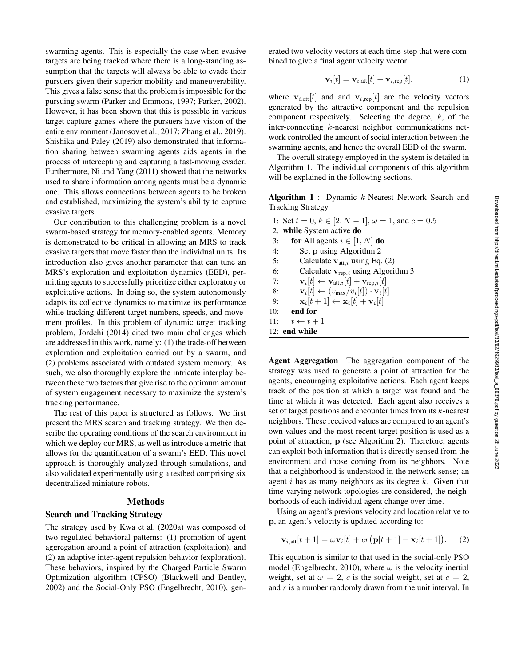swarming agents. This is especially the case when evasive targets are being tracked where there is a long-standing assumption that the targets will always be able to evade their pursuers given their superior mobility and maneuverability. This gives a false sense that the problem is impossible for the pursuing swarm (Parker and Emmons, 1997; Parker, 2002). However, it has been shown that this is possible in various target capture games where the pursuers have vision of the entire environment (Janosov et al., 2017; Zhang et al., 2019). Shishika and Paley (2019) also demonstrated that information sharing between swarming agents aids agents in the process of intercepting and capturing a fast-moving evader. Furthermore, Ni and Yang (2011) showed that the networks used to share information among agents must be a dynamic one. This allows connections between agents to be broken and established, maximizing the system's ability to capture evasive targets.

Our contribution to this challenging problem is a novel swarm-based strategy for memory-enabled agents. Memory is demonstrated to be critical in allowing an MRS to track evasive targets that move faster than the individual units. Its introduction also gives another parameter that can tune an MRS's exploration and exploitation dynamics (EED), permitting agents to successfully prioritize either exploratory or exploitative actions. In doing so, the system autonomously adapts its collective dynamics to maximize its performance while tracking different target numbers, speeds, and movement profiles. In this problem of dynamic target tracking problem, Jordehi (2014) cited two main challenges which are addressed in this work, namely: (1) the trade-off between exploration and exploitation carried out by a swarm, and (2) problems associated with outdated system memory. As such, we also thoroughly explore the intricate interplay between these two factors that give rise to the optimum amount of system engagement necessary to maximize the system's tracking performance.

The rest of this paper is structured as follows. We first present the MRS search and tracking strategy. We then describe the operating conditions of the search environment in which we deploy our MRS, as well as introduce a metric that allows for the quantification of a swarm's EED. This novel approach is thoroughly analyzed through simulations, and also validated experimentally using a testbed comprising six decentralized miniature robots.

#### Methods

## Search and Tracking Strategy

The strategy used by Kwa et al. (2020a) was composed of two regulated behavioral patterns: (1) promotion of agent aggregation around a point of attraction (exploitation), and (2) an adaptive inter-agent repulsion behavior (exploration). These behaviors, inspired by the Charged Particle Swarm Optimization algorithm (CPSO) (Blackwell and Bentley, 2002) and the Social-Only PSO (Engelbrecht, 2010), generated two velocity vectors at each time-step that were combined to give a final agent velocity vector:

$$
\mathbf{v}_i[t] = \mathbf{v}_{i,\text{att}}[t] + \mathbf{v}_{i,\text{rep}}[t],\tag{1}
$$

where  $\mathbf{v}_{i, \text{att}}[t]$  and and  $\mathbf{v}_{i, \text{rep}}[t]$  are the velocity vectors generated by the attractive component and the repulsion component respectively. Selecting the degree, k, of the inter-connecting k-nearest neighbor communications network controlled the amount of social interaction between the swarming agents, and hence the overall EED of the swarm.

The overall strategy employed in the system is detailed in Algorithm 1. The individual components of this algorithm will be explained in the following sections.

| <b>Algorithm 1</b> : Dynamic $k$ -Nearest Network Search and                                   |
|------------------------------------------------------------------------------------------------|
| <b>Tracking Strategy</b>                                                                       |
| 1: Set $t = 0, k \in [2, N - 1], \omega = 1$ , and $c = 0.5$                                   |
| 2: while System active do                                                                      |
| <b>for</b> All agents $i \in [1, N]$ <b>do</b><br>3:                                           |
| Set p using Algorithm 2<br>4:                                                                  |
| Calculate $v_{att,i}$ using Eq. (2)<br>5:                                                      |
| Calculate $v_{\text{rep},i}$ using Algorithm 3<br>6:                                           |
| $\mathbf{v}_i[t] \leftarrow \mathbf{v}_{\text{att},i}[t] + \mathbf{v}_{\text{rep},i}[t]$<br>7: |
| $\mathbf{v}_i[t] \leftarrow (v_{\text{max}}/v_i[t]) \cdot \mathbf{v}_i[t]$<br>8:               |
| $\mathbf{x}_i[t+1] \leftarrow \mathbf{x}_i[t] + \mathbf{v}_i[t]$<br>9:                         |
| end for<br>10:                                                                                 |
| 11:<br>$t \leftarrow t + 1$                                                                    |
| 12: end while                                                                                  |

Agent Aggregation The aggregation component of the strategy was used to generate a point of attraction for the agents, encouraging exploitative actions. Each agent keeps track of the position at which a target was found and the time at which it was detected. Each agent also receives a set of target positions and encounter times from its k-nearest neighbors. These received values are compared to an agent's own values and the most recent target position is used as a point of attraction, p (see Algorithm 2). Therefore, agents can exploit both information that is directly sensed from the environment and those coming from its neighbors. Note that a neighborhood is understood in the network sense; an agent  $i$  has as many neighbors as its degree  $k$ . Given that time-varying network topologies are considered, the neighborhoods of each individual agent change over time.

Using an agent's previous velocity and location relative to p, an agent's velocity is updated according to:

$$
\mathbf{v}_{i,\text{att}}[t+1] = \omega \mathbf{v}_i[t] + cr(\mathbf{p}[t+1] - \mathbf{x}_i[t+1]).
$$
 (2)

This equation is similar to that used in the social-only PSO model (Engelbrecht, 2010), where  $\omega$  is the velocity inertial weight, set at  $\omega = 2$ , c is the social weight, set at  $c = 2$ , and  $r$  is a number randomly drawn from the unit interval. In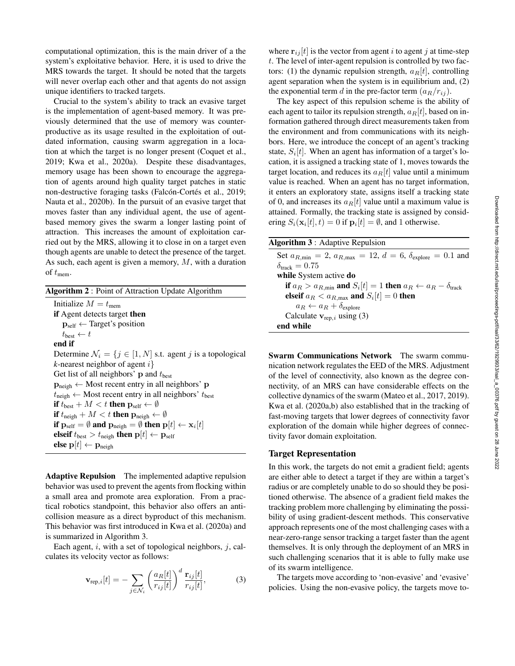computational optimization, this is the main driver of a the system's exploitative behavior. Here, it is used to drive the MRS towards the target. It should be noted that the targets will never overlap each other and that agents do not assign unique identifiers to tracked targets.

Crucial to the system's ability to track an evasive target is the implementation of agent-based memory. It was previously determined that the use of memory was counterproductive as its usage resulted in the exploitation of outdated information, causing swarm aggregation in a location at which the target is no longer present (Coquet et al., 2019; Kwa et al., 2020a). Despite these disadvantages, memory usage has been shown to encourage the aggregation of agents around high quality target patches in static non-destructive foraging tasks (Falcón-Cortés et al., 2019; Nauta et al., 2020b). In the pursuit of an evasive target that moves faster than any individual agent, the use of agentbased memory gives the swarm a longer lasting point of attraction. This increases the amount of exploitation carried out by the MRS, allowing it to close in on a target even though agents are unable to detect the presence of the target. As such, each agent is given a memory, M, with a duration of  $t_{\text{mem}}$ .

| <b>Algorithm 2:</b> Point of Attraction Update Algorithm |  |
|----------------------------------------------------------|--|
|----------------------------------------------------------|--|

Initialize  $M = t_{\text{mem}}$ if Agent detects target then  $\mathbf{p}_{self} \leftarrow Target's position$  $t_{\text{best}} \leftarrow t$ end if Determine  $\mathcal{N}_i = \{j \in [1, N] \text{ s.t. agent } j \text{ is a topological }\}$ *k*-nearest neighbor of agent i} Get list of all neighbors'  $\bf{p}$  and  $t_{best}$  $p_{\text{neigh}} \leftarrow$  Most recent entry in all neighbors' p  $t_{\text{neigh}} \leftarrow$  Most recent entry in all neighbors'  $t_{\text{best}}$ if  $t_{\text{best}} + M < t$  then  $\mathbf{p}_{\text{self}} \leftarrow \emptyset$ if  $t_{\text{neigh}} + M < t$  then  $p_{\text{neigh}} \leftarrow \emptyset$ if  $\mathbf{p}_{\text{self}} = \emptyset$  and  $\mathbf{p}_{\text{neigh}} = \emptyset$  then  $\mathbf{p}[t] \leftarrow \mathbf{x}_i[t]$ elseif  $t_{\text{best}} > t_{\text{neigh}}$  then  $p[t] \leftarrow p_{\text{self}}$ else  $p[t] \leftarrow p_{\text{neigh}}$ 

Adaptive Repulsion The implemented adaptive repulsion behavior was used to prevent the agents from flocking within a small area and promote area exploration. From a practical robotics standpoint, this behavior also offers an anticollision measure as a direct byproduct of this mechanism. This behavior was first introduced in Kwa et al. (2020a) and is summarized in Algorithm 3.

Each agent,  $i$ , with a set of topological neighbors,  $j$ , calculates its velocity vector as follows:

$$
\mathbf{v}_{\text{rep},i}[t] = -\sum_{j \in \mathcal{N}_i} \left( \frac{a_R[t]}{r_{ij}[t]} \right)^d \frac{\mathbf{r}_{ij}[t]}{r_{ij}[t]},\tag{3}
$$

where  $\mathbf{r}_{ij}[t]$  is the vector from agent i to agent j at time-step t. The level of inter-agent repulsion is controlled by two factors: (1) the dynamic repulsion strength,  $a_R[t]$ , controlling agent separation when the system is in equilibrium and, (2) the exponential term d in the pre-factor term  $(a_R/r_{ij})$ .

The key aspect of this repulsion scheme is the ability of each agent to tailor its repulsion strength,  $a_R[t]$ , based on information gathered through direct measurements taken from the environment and from communications with its neighbors. Here, we introduce the concept of an agent's tracking state,  $S_i[t]$ . When an agent has information of a target's location, it is assigned a tracking state of 1, moves towards the target location, and reduces its  $a_R[t]$  value until a minimum value is reached. When an agent has no target information, it enters an exploratory state, assigns itself a tracking state of 0, and increases its  $a_R[t]$  value until a maximum value is attained. Formally, the tracking state is assigned by considering  $S_i(\mathbf{x}_i[t], t) = 0$  if  $\mathbf{p}_i[t] = \emptyset$ , and 1 otherwise.

| <b>Algorithm 3</b> : Adaptive Repulsion                                                        |
|------------------------------------------------------------------------------------------------|
| Set $a_{R,min} = 2$ , $a_{R,max} = 12$ , $d = 6$ , $\delta_{\text{explore}} = 0.1$ and         |
| $\delta_{\text{track}} = 0.75$                                                                 |
| while System active do                                                                         |
| if $a_R > a_{R,\text{min}}$ and $S_i[t] = 1$ then $a_R \leftarrow a_R - \delta_{\text{track}}$ |
| elseif $a_R < a_{R,\text{max}}$ and $S_i[t] = 0$ then                                          |
| $a_R \leftarrow a_R + \delta_{\text{explore}}$                                                 |
| Calculate $v_{\text{rep},i}$ using (3)                                                         |
| end while                                                                                      |

Swarm Communications Network The swarm communication network regulates the EED of the MRS. Adjustment of the level of connectivity, also known as the degree connectivity, of an MRS can have considerable effects on the collective dynamics of the swarm (Mateo et al., 2017, 2019). Kwa et al. (2020a,b) also established that in the tracking of fast-moving targets that lower degrees of connectivity favor exploration of the domain while higher degrees of connectivity favor domain exploitation.

## Target Representation

In this work, the targets do not emit a gradient field; agents are either able to detect a target if they are within a target's radius or are completely unable to do so should they be positioned otherwise. The absence of a gradient field makes the tracking problem more challenging by eliminating the possibility of using gradient-descent methods. This conservative approach represents one of the most challenging cases with a near-zero-range sensor tracking a target faster than the agent themselves. It is only through the deployment of an MRS in such challenging scenarios that it is able to fully make use of its swarm intelligence.

The targets move according to 'non-evasive' and 'evasive' policies. Using the non-evasive policy, the targets move to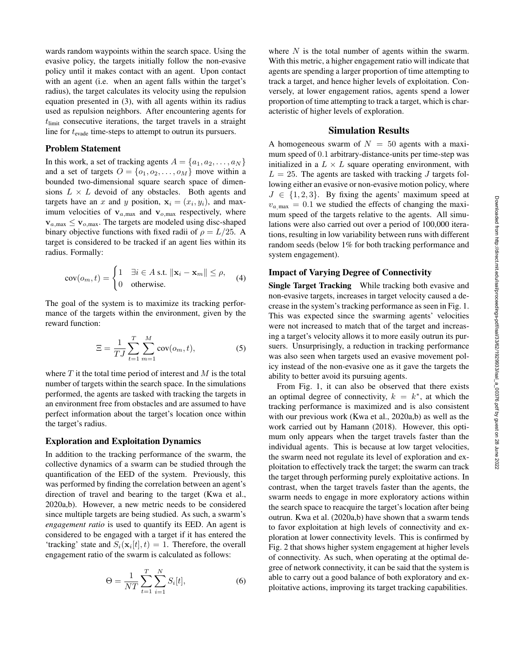wards random waypoints within the search space. Using the evasive policy, the targets initially follow the non-evasive policy until it makes contact with an agent. Upon contact with an agent (i.e. when an agent falls within the target's radius), the target calculates its velocity using the repulsion equation presented in (3), with all agents within its radius used as repulsion neighbors. After encountering agents for  $t_{\text{limit}}$  consecutive iterations, the target travels in a straight line for  $t_{\text{evade}}$  time-steps to attempt to outrun its pursuers.

# Problem Statement

In this work, a set of tracking agents  $A = \{a_1, a_2, \dots, a_N\}$ and a set of targets  $O = \{o_1, o_2, \ldots, o_M\}$  move within a bounded two-dimensional square search space of dimensions  $L \times L$  devoid of any obstacles. Both agents and targets have an x and y position,  $x_i = (x_i, y_i)$ , and maximum velocities of  $v_{a,max}$  and  $v_{o,max}$  respectively, where  $v_{a,max} \leq v_{o,max}$ . The targets are modeled using disc-shaped binary objective functions with fixed radii of  $\rho = L/25$ . A target is considered to be tracked if an agent lies within its radius. Formally:

$$
cov(o_m, t) = \begin{cases} 1 & \exists i \in A \text{ s.t. } ||\mathbf{x}_i - \mathbf{x}_m|| \le \rho, \\ 0 & \text{otherwise.} \end{cases}
$$
(4)

The goal of the system is to maximize its tracking performance of the targets within the environment, given by the reward function:

$$
\Xi = \frac{1}{TJ} \sum_{t=1}^{T} \sum_{m=1}^{M} \text{cov}(o_m, t),
$$
 (5)

where  $T$  it the total time period of interest and  $M$  is the total number of targets within the search space. In the simulations performed, the agents are tasked with tracking the targets in an environment free from obstacles and are assumed to have perfect information about the target's location once within the target's radius.

#### Exploration and Exploitation Dynamics

In addition to the tracking performance of the swarm, the collective dynamics of a swarm can be studied through the quantification of the EED of the system. Previously, this was performed by finding the correlation between an agent's direction of travel and bearing to the target (Kwa et al., 2020a,b). However, a new metric needs to be considered since multiple targets are being studied. As such, a swarm's *engagement ratio* is used to quantify its EED. An agent is considered to be engaged with a target if it has entered the 'tracking' state and  $S_i(\mathbf{x}_i[t], t) = 1$ . Therefore, the overall engagement ratio of the swarm is calculated as follows:

$$
\Theta = \frac{1}{NT} \sum_{t=1}^{T} \sum_{i=1}^{N} S_i[t],
$$
\n(6)

where  $N$  is the total number of agents within the swarm. With this metric, a higher engagement ratio will indicate that agents are spending a larger proportion of time attempting to track a target, and hence higher levels of exploitation. Conversely, at lower engagement ratios, agents spend a lower proportion of time attempting to track a target, which is characteristic of higher levels of exploration.

#### Simulation Results

A homogeneous swarm of  $N = 50$  agents with a maximum speed of 0.1 arbitrary-distance-units per time-step was initialized in a  $L \times L$  square operating environment, with  $L = 25$ . The agents are tasked with tracking J targets following either an evasive or non-evasive motion policy, where  $J \in \{1, 2, 3\}$ . By fixing the agents' maximum speed at  $v_{a \text{ max}} = 0.1$  we studied the effects of changing the maximum speed of the targets relative to the agents. All simulations were also carried out over a period of 100,000 iterations, resulting in low variability between runs with different random seeds (below 1% for both tracking performance and system engagement).

## Impact of Varying Degree of Connectivity

Single Target Tracking While tracking both evasive and non-evasive targets, increases in target velocity caused a decrease in the system's tracking performance as seen in Fig. 1. This was expected since the swarming agents' velocities were not increased to match that of the target and increasing a target's velocity allows it to more easily outrun its pursuers. Unsurprisingly, a reduction in tracking performance was also seen when targets used an evasive movement policy instead of the non-evasive one as it gave the targets the ability to better avoid its pursuing agents.

From Fig. 1, it can also be observed that there exists an optimal degree of connectivity,  $k = k^*$ , at which the tracking performance is maximized and is also consistent with our previous work (Kwa et al., 2020a,b) as well as the work carried out by Hamann (2018). However, this optimum only appears when the target travels faster than the individual agents. This is because at low target velocities, the swarm need not regulate its level of exploration and exploitation to effectively track the target; the swarm can track the target through performing purely exploitative actions. In contrast, when the target travels faster than the agents, the swarm needs to engage in more exploratory actions within the search space to reacquire the target's location after being outrun. Kwa et al. (2020a,b) have shown that a swarm tends to favor exploitation at high levels of connectivity and exploration at lower connectivity levels. This is confirmed by Fig. 2 that shows higher system engagement at higher levels of connectivity. As such, when operating at the optimal degree of network connectivity, it can be said that the system is able to carry out a good balance of both exploratory and exploitative actions, improving its target tracking capabilities.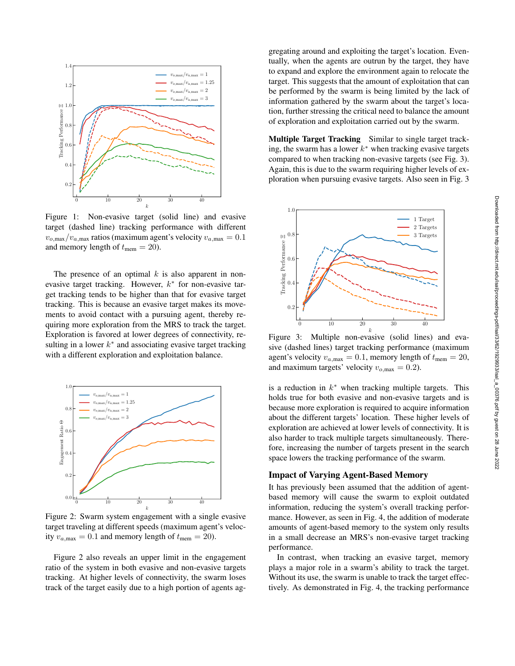

Figure 1: Non-evasive target (solid line) and evasive target (dashed line) tracking performance with different  $v_{o,\text{max}}/v_{a,\text{max}}$  ratios (maximum agent's velocity  $v_{a,\text{max}} = 0.1$ and memory length of  $t_{\text{mem}} = 20$ ).

The presence of an optimal  $k$  is also apparent in nonevasive target tracking. However,  $k^*$  for non-evasive target tracking tends to be higher than that for evasive target tracking. This is because an evasive target makes its movements to avoid contact with a pursuing agent, thereby requiring more exploration from the MRS to track the target. Exploration is favored at lower degrees of connectivity, resulting in a lower  $k^*$  and associating evasive target tracking with a different exploration and exploitation balance.



Figure 2: Swarm system engagement with a single evasive target traveling at different speeds (maximum agent's velocity  $v_{a,\text{max}} = 0.1$  and memory length of  $t_{\text{mem}} = 20$ ).

Figure 2 also reveals an upper limit in the engagement ratio of the system in both evasive and non-evasive targets tracking. At higher levels of connectivity, the swarm loses track of the target easily due to a high portion of agents ag-

gregating around and exploiting the target's location. Eventually, when the agents are outrun by the target, they have to expand and explore the environment again to relocate the target. This suggests that the amount of exploitation that can be performed by the swarm is being limited by the lack of information gathered by the swarm about the target's location, further stressing the critical need to balance the amount of exploration and exploitation carried out by the swarm.

Multiple Target Tracking Similar to single target tracking, the swarm has a lower  $k^*$  when tracking evasive targets compared to when tracking non-evasive targets (see Fig. 3). Again, this is due to the swarm requiring higher levels of exploration when pursuing evasive targets. Also seen in Fig. 3



k Figure 3: Multiple non-evasive (solid lines) and evasive (dashed lines) target tracking performance (maximum agent's velocity  $v_{a,\text{max}} = 0.1$ , memory length of  $t_{\text{mem}} = 20$ , and maximum targets' velocity  $v_{o,\text{max}} = 0.2$ ).

is a reduction in  $k^*$  when tracking multiple targets. This holds true for both evasive and non-evasive targets and is because more exploration is required to acquire information about the different targets' location. These higher levels of exploration are achieved at lower levels of connectivity. It is also harder to track multiple targets simultaneously. Therefore, increasing the number of targets present in the search space lowers the tracking performance of the swarm.

#### Impact of Varying Agent-Based Memory

It has previously been assumed that the addition of agentbased memory will cause the swarm to exploit outdated information, reducing the system's overall tracking performance. However, as seen in Fig. 4, the addition of moderate amounts of agent-based memory to the system only results in a small decrease an MRS's non-evasive target tracking performance.

In contrast, when tracking an evasive target, memory plays a major role in a swarm's ability to track the target. Without its use, the swarm is unable to track the target effectively. As demonstrated in Fig. 4, the tracking performance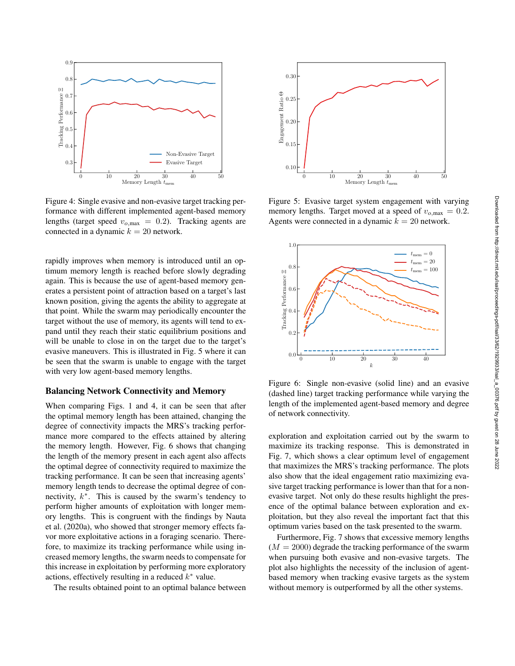

Figure 4: Single evasive and non-evasive target tracking performance with different implemented agent-based memory lengths (target speed  $v_{o,\text{max}} = 0.2$ ). Tracking agents are connected in a dynamic  $k = 20$  network.

rapidly improves when memory is introduced until an optimum memory length is reached before slowly degrading again. This is because the use of agent-based memory generates a persistent point of attraction based on a target's last known position, giving the agents the ability to aggregate at that point. While the swarm may periodically encounter the target without the use of memory, its agents will tend to expand until they reach their static equilibrium positions and will be unable to close in on the target due to the target's evasive maneuvers. This is illustrated in Fig. 5 where it can be seen that the swarm is unable to engage with the target with very low agent-based memory lengths.

#### Balancing Network Connectivity and Memory

When comparing Figs. 1 and 4, it can be seen that after the optimal memory length has been attained, changing the degree of connectivity impacts the MRS's tracking performance more compared to the effects attained by altering the memory length. However, Fig. 6 shows that changing the length of the memory present in each agent also affects the optimal degree of connectivity required to maximize the tracking performance. It can be seen that increasing agents' memory length tends to decrease the optimal degree of connectivity,  $k^*$ . This is caused by the swarm's tendency to perform higher amounts of exploitation with longer memory lengths. This is congruent with the findings by Nauta et al. (2020a), who showed that stronger memory effects favor more exploitative actions in a foraging scenario. Therefore, to maximize its tracking performance while using increased memory lengths, the swarm needs to compensate for this increase in exploitation by performing more exploratory actions, effectively resulting in a reduced  $k^*$  value.

The results obtained point to an optimal balance between



Figure 5: Evasive target system engagement with varying memory lengths. Target moved at a speed of  $v_{o,\text{max}} = 0.2$ . Agents were connected in a dynamic  $k = 20$  network.



Figure 6: Single non-evasive (solid line) and an evasive (dashed line) target tracking performance while varying the length of the implemented agent-based memory and degree of network connectivity.

exploration and exploitation carried out by the swarm to maximize its tracking response. This is demonstrated in Fig. 7, which shows a clear optimum level of engagement that maximizes the MRS's tracking performance. The plots also show that the ideal engagement ratio maximizing evasive target tracking performance is lower than that for a nonevasive target. Not only do these results highlight the presence of the optimal balance between exploration and exploitation, but they also reveal the important fact that this optimum varies based on the task presented to the swarm.

Furthermore, Fig. 7 shows that excessive memory lengths  $(M = 2000)$  degrade the tracking performance of the swarm when pursuing both evasive and non-evasive targets. The plot also highlights the necessity of the inclusion of agentbased memory when tracking evasive targets as the system without memory is outperformed by all the other systems.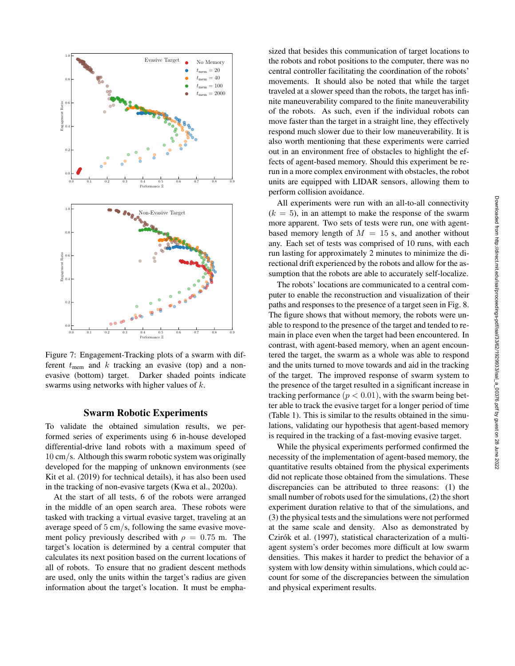

Figure 7: Engagement-Tracking plots of a swarm with different  $t_{\text{mem}}$  and k tracking an evasive (top) and a nonevasive (bottom) target. Darker shaded points indicate swarms using networks with higher values of k.

#### Swarm Robotic Experiments

To validate the obtained simulation results, we performed series of experiments using 6 in-house developed differential-drive land robots with a maximum speed of 10 cm/s. Although this swarm robotic system was originally developed for the mapping of unknown environments (see Kit et al. (2019) for technical details), it has also been used in the tracking of non-evasive targets (Kwa et al., 2020a).

At the start of all tests, 6 of the robots were arranged in the middle of an open search area. These robots were tasked with tracking a virtual evasive target, traveling at an average speed of 5 cm/s, following the same evasive movement policy previously described with  $\rho = 0.75$  m. The target's location is determined by a central computer that calculates its next position based on the current locations of all of robots. To ensure that no gradient descent methods are used, only the units within the target's radius are given information about the target's location. It must be emphasized that besides this communication of target locations to the robots and robot positions to the computer, there was no central controller facilitating the coordination of the robots' movements. It should also be noted that while the target traveled at a slower speed than the robots, the target has infinite maneuverability compared to the finite maneuverability of the robots. As such, even if the individual robots can move faster than the target in a straight line, they effectively respond much slower due to their low maneuverability. It is also worth mentioning that these experiments were carried out in an environment free of obstacles to highlight the effects of agent-based memory. Should this experiment be rerun in a more complex environment with obstacles, the robot units are equipped with LIDAR sensors, allowing them to perform collision avoidance.

All experiments were run with an all-to-all connectivity  $(k = 5)$ , in an attempt to make the response of the swarm more apparent. Two sets of tests were run, one with agentbased memory length of  $M = 15$  s, and another without any. Each set of tests was comprised of 10 runs, with each run lasting for approximately 2 minutes to minimize the directional drift experienced by the robots and allow for the assumption that the robots are able to accurately self-localize.

The robots' locations are communicated to a central computer to enable the reconstruction and visualization of their paths and responses to the presence of a target seen in Fig. 8. The figure shows that without memory, the robots were unable to respond to the presence of the target and tended to remain in place even when the target had been encountered. In contrast, with agent-based memory, when an agent encountered the target, the swarm as a whole was able to respond and the units turned to move towards and aid in the tracking of the target. The improved response of swarm system to the presence of the target resulted in a significant increase in tracking performance  $(p < 0.01)$ , with the swarm being better able to track the evasive target for a longer period of time (Table 1). This is similar to the results obtained in the simulations, validating our hypothesis that agent-based memory is required in the tracking of a fast-moving evasive target.

While the physical experiments performed confirmed the necessity of the implementation of agent-based memory, the quantitative results obtained from the physical experiments did not replicate those obtained from the simulations. These discrepancies can be attributed to three reasons: (1) the small number of robots used for the simulations, (2) the short experiment duration relative to that of the simulations, and (3) the physical tests and the simulations were not performed at the same scale and density. Also as demonstrated by Czirók et al. (1997), statistical characterization of a multiagent system's order becomes more difficult at low swarm densities. This makes it harder to predict the behavior of a system with low density within simulations, which could account for some of the discrepancies between the simulation and physical experiment results.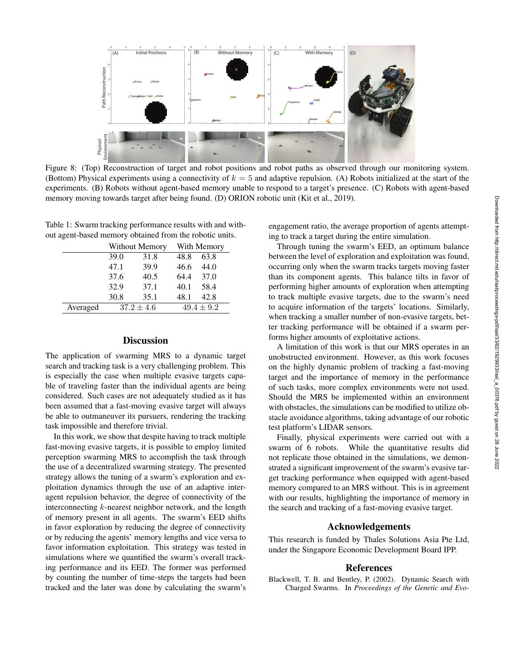

Figure 8: (Top) Reconstruction of target and robot positions and robot paths as observed through our monitoring system. (Bottom) Physical experiments using a connectivity of  $k = 5$  and adaptive repulsion. (A) Robots initialized at the start of the experiments. (B) Robots without agent-based memory unable to respond to a target's presence. (C) Robots with agent-based memory moving towards target after being found. (D) ORION robotic unit (Kit et al., 2019).

Table 1: Swarm tracking performance results with and without agent-based memory obtained from the robotic units.

|          | <b>Without Memory</b> |      | With Memory    |      |
|----------|-----------------------|------|----------------|------|
|          | 39.0                  | 31.8 | 48.8           | 63.8 |
|          | 47.1                  | 39.9 | 46.6           | 44.0 |
|          | 37.6                  | 40.5 | 64.4           | 37.0 |
|          | 32.9                  | 37.1 | 40.1           | 58.4 |
|          | 30.8                  | 35.1 | 48.1           | 42.8 |
| Averaged | $37.2 \pm 4.6$        |      | $49.4 \pm 9.2$ |      |

## **Discussion**

The application of swarming MRS to a dynamic target search and tracking task is a very challenging problem. This is especially the case when multiple evasive targets capable of traveling faster than the individual agents are being considered. Such cases are not adequately studied as it has been assumed that a fast-moving evasive target will always be able to outmaneuver its pursuers, rendering the tracking task impossible and therefore trivial.

In this work, we show that despite having to track multiple fast-moving evasive targets, it is possible to employ limited perception swarming MRS to accomplish the task through the use of a decentralized swarming strategy. The presented strategy allows the tuning of a swarm's exploration and exploitation dynamics through the use of an adaptive interagent repulsion behavior, the degree of connectivity of the interconnecting k-nearest neighbor network, and the length of memory present in all agents. The swarm's EED shifts in favor exploration by reducing the degree of connectivity or by reducing the agents' memory lengths and vice versa to favor information exploitation. This strategy was tested in simulations where we quantified the swarm's overall tracking performance and its EED. The former was performed by counting the number of time-steps the targets had been tracked and the later was done by calculating the swarm's

engagement ratio, the average proportion of agents attempting to track a target during the entire simulation.

Through tuning the swarm's EED, an optimum balance between the level of exploration and exploitation was found, occurring only when the swarm tracks targets moving faster than its component agents. This balance tilts in favor of performing higher amounts of exploration when attempting to track multiple evasive targets, due to the swarm's need to acquire information of the targets' locations. Similarly, when tracking a smaller number of non-evasive targets, better tracking performance will be obtained if a swarm performs higher amounts of exploitative actions.

A limitation of this work is that our MRS operates in an unobstructed environment. However, as this work focuses on the highly dynamic problem of tracking a fast-moving target and the importance of memory in the performance of such tasks, more complex environments were not used. Should the MRS be implemented within an environment with obstacles, the simulations can be modified to utilize obstacle avoidance algorithms, taking advantage of our robotic test platform's LIDAR sensors.

Finally, physical experiments were carried out with a swarm of 6 robots. While the quantitative results did not replicate those obtained in the simulations, we demonstrated a significant improvement of the swarm's evasive target tracking performance when equipped with agent-based memory compared to an MRS without. This is in agreement with our results, highlighting the importance of memory in the search and tracking of a fast-moving evasive target.

## Acknowledgements

This research is funded by Thales Solutions Asia Pte Ltd, under the Singapore Economic Development Board IPP.

## References

Blackwell, T. B. and Bentley, P. (2002). Dynamic Search with Charged Swarms. In *Proceedings of the Genetic and Evo-*